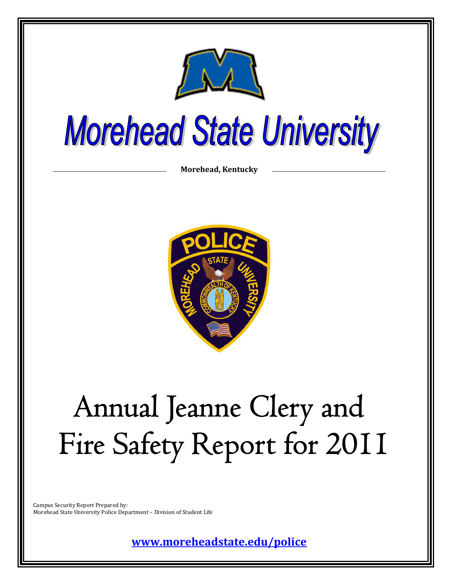

# **Morehead State University**

**Morehead, Kentucky**



# Annual Jeanne Clery and Fire Safety Report for 2011

Campus Security Report Prepared by: Morehead State University Police Department – Division of Student Life

**[www.moreheadstate.edu/police](http://www.moreheadstate.edu/police)**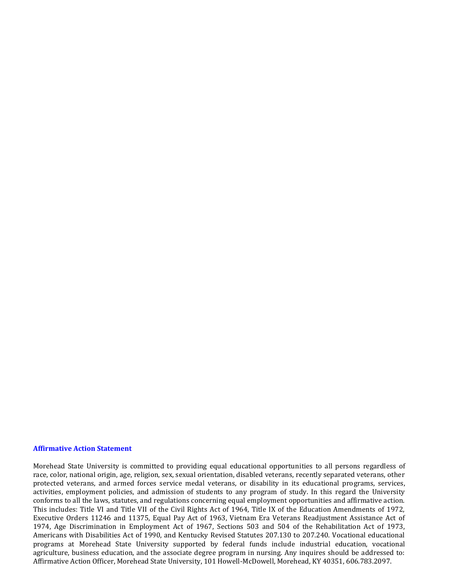#### **Affirmative Action Statement**

Morehead State University is committed to providing equal educational opportunities to all persons regardless of race, color, national origin, age, religion, sex, sexual orientation, disabled veterans, recently separated veterans, other protected veterans, and armed forces service medal veterans, or disability in its educational programs, services, activities, employment policies, and admission of students to any program of study. In this regard the University conforms to all the laws, statutes, and regulations concerning equal employment opportunities and affirmative action. This includes: Title VI and Title VII of the Civil Rights Act of 1964, Title IX of the Education Amendments of 1972, Executive Orders 11246 and 11375, Equal Pay Act of 1963, Vietnam Era Veterans Readjustment Assistance Act of 1974, Age Discrimination in Employment Act of 1967, Sections 503 and 504 of the Rehabilitation Act of 1973, Americans with Disabilities Act of 1990, and Kentucky Revised Statutes 207.130 to 207.240. Vocational educational programs at Morehead State University supported by federal funds include industrial education, vocational agriculture, business education, and the associate degree program in nursing. Any inquires should be addressed to: Affirmative Action Officer, Morehead State University, 101 Howell-McDowell, Morehead, KY 40351, 606.783.2097.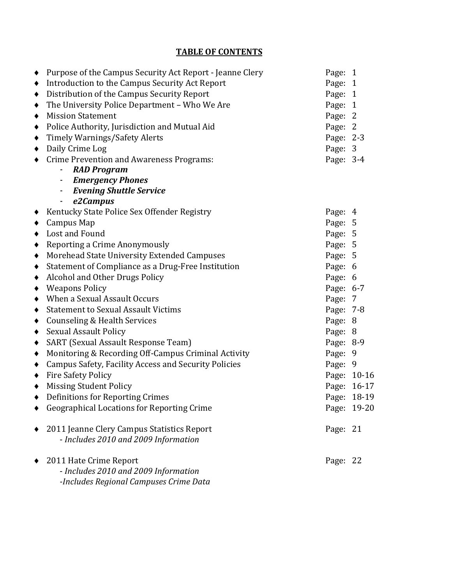## **TABLE OF CONTENTS**

| $\bullet$       | Purpose of the Campus Security Act Report - Jeanne Clery                                                 | Page: 1   |             |
|-----------------|----------------------------------------------------------------------------------------------------------|-----------|-------------|
| $\blacklozenge$ | Introduction to the Campus Security Act Report                                                           | Page: 1   |             |
| ٠               | Distribution of the Campus Security Report                                                               | Page: 1   |             |
| ٠               | The University Police Department - Who We Are                                                            | Page: 1   |             |
| ٠               | <b>Mission Statement</b>                                                                                 | Page: 2   |             |
| $\blacklozenge$ | Police Authority, Jurisdiction and Mutual Aid                                                            | Page: 2   |             |
| $\blacklozenge$ | <b>Timely Warnings/Safety Alerts</b>                                                                     | Page: 2-3 |             |
| $\blacklozenge$ | Daily Crime Log                                                                                          | Page: 3   |             |
| $\bullet$       | <b>Crime Prevention and Awareness Programs:</b>                                                          | Page: 3-4 |             |
|                 | - RAD Program                                                                                            |           |             |
|                 | - Emergency Phones                                                                                       |           |             |
|                 | - Evening Shuttle Service                                                                                |           |             |
|                 | e2Campus<br>$\blacksquare$                                                                               |           |             |
|                 | ◆ Kentucky State Police Sex Offender Registry                                                            | Page: 4   |             |
| $\bullet$       | Campus Map                                                                                               | Page: 5   |             |
|                 | • Lost and Found                                                                                         | Page: 5   |             |
| $\blacklozenge$ | Reporting a Crime Anonymously                                                                            | Page: 5   |             |
| $\blacklozenge$ | Morehead State University Extended Campuses                                                              | Page: 5   |             |
| ٠               | Statement of Compliance as a Drug-Free Institution                                                       | Page: 6   |             |
| $\blacklozenge$ | Alcohol and Other Drugs Policy                                                                           | Page: 6   |             |
| $\blacklozenge$ | <b>Weapons Policy</b>                                                                                    | Page: 6-7 |             |
| ٠               | When a Sexual Assault Occurs                                                                             | Page: 7   |             |
| ٠               | <b>Statement to Sexual Assault Victims</b>                                                               | Page: 7-8 |             |
| $\bullet$       | <b>Counseling &amp; Health Services</b>                                                                  | Page: 8   |             |
| $\blacklozenge$ | <b>Sexual Assault Policy</b>                                                                             | Page: 8   |             |
| ٠               | <b>SART</b> (Sexual Assault Response Team)                                                               | Page: 8-9 |             |
| $\blacklozenge$ | Monitoring & Recording Off-Campus Criminal Activity                                                      | Page: 9   |             |
| $\blacklozenge$ | <b>Campus Safety, Facility Access and Security Policies</b>                                              | Page: 9   |             |
|                 | ◆ Fire Safety Policy                                                                                     |           | Page: 10-16 |
| $\bullet$       | <b>Missing Student Policy</b>                                                                            |           | Page: 16-17 |
|                 | • Definitions for Reporting Crimes                                                                       |           | Page: 18-19 |
|                 | <b>Geographical Locations for Reporting Crime</b>                                                        |           | Page: 19-20 |
|                 | 2011 Jeanne Clery Campus Statistics Report<br>- Includes 2010 and 2009 Information                       | Page: 21  |             |
|                 | 2011 Hate Crime Report<br>- Includes 2010 and 2009 Information<br>-Includes Regional Campuses Crime Data | Page: 22  |             |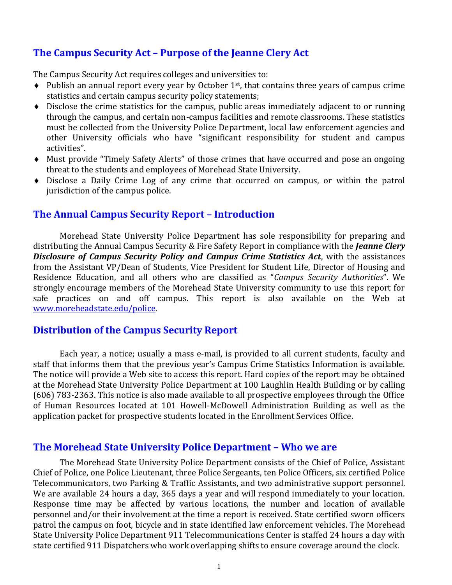## **The Campus Security Act – Purpose of the Jeanne Clery Act**

The Campus Security Act requires colleges and universities to:

- $\bullet$  Publish an annual report every year by October 1<sup>st</sup>, that contains three years of campus crime statistics and certain campus security policy statements;
- Disclose the crime statistics for the campus, public areas immediately adjacent to or running through the campus, and certain non-campus facilities and remote classrooms. These statistics must be collected from the University Police Department, local law enforcement agencies and other University officials who have "significant responsibility for student and campus activities".
- Must provide "Timely Safety Alerts" of those crimes that have occurred and pose an ongoing threat to the students and employees of Morehead State University.
- Disclose a Daily Crime Log of any crime that occurred on campus, or within the patrol jurisdiction of the campus police.

## **The Annual Campus Security Report – Introduction**

Morehead State University Police Department has sole responsibility for preparing and distributing the Annual Campus Security & Fire Safety Report in compliance with the *Jeanne Clery Disclosure of Campus Security Policy and Campus Crime Statistics Act*, with the assistances from the Assistant VP/Dean of Students, Vice President for Student Life, Director of Housing and Residence Education, and all others who are classified as "*Campus Security Authorities*". We strongly encourage members of the Morehead State University community to use this report for safe practices on and off campus. This report is also available on the Web at [www.moreheadstate.edu/police.](http://www.moreheadstate.edu/police)

#### **Distribution of the Campus Security Report**

Each year, a notice; usually a mass e-mail, is provided to all current students, faculty and staff that informs them that the previous year's Campus Crime Statistics Information is available. The notice will provide a Web site to access this report. Hard copies of the report may be obtained at the Morehead State University Police Department at 100 Laughlin Health Building or by calling (606) 783-2363. This notice is also made available to all prospective employees through the Office of Human Resources located at 101 Howell-McDowell Administration Building as well as the application packet for prospective students located in the Enrollment Services Office.

#### **The Morehead State University Police Department – Who we are**

The Morehead State University Police Department consists of the Chief of Police, Assistant Chief of Police, one Police Lieutenant, three Police Sergeants, ten Police Officers, six certified Police Telecommunicators, two Parking & Traffic Assistants, and two administrative support personnel. We are available 24 hours a day, 365 days a year and will respond immediately to your location. Response time may be affected by various locations, the number and location of available personnel and/or their involvement at the time a report is received. State certified sworn officers patrol the campus on foot, bicycle and in state identified law enforcement vehicles. The Morehead State University Police Department 911 Telecommunications Center is staffed 24 hours a day with state certified 911 Dispatchers who work overlapping shifts to ensure coverage around the clock.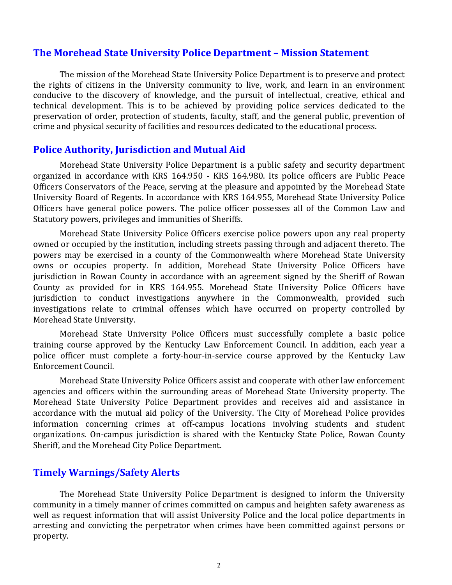#### **The Morehead State University Police Department – Mission Statement**

The mission of the Morehead State University Police Department is to preserve and protect the rights of citizens in the University community to live, work, and learn in an environment conducive to the discovery of knowledge, and the pursuit of intellectual, creative, ethical and technical development. This is to be achieved by providing police services dedicated to the preservation of order, protection of students, faculty, staff, and the general public, prevention of crime and physical security of facilities and resources dedicated to the educational process.

#### **Police Authority, Jurisdiction and Mutual Aid**

Morehead State University Police Department is a public safety and security department organized in accordance with KRS 164.950 - KRS 164.980. Its police officers are Public Peace Officers Conservators of the Peace, serving at the pleasure and appointed by the Morehead State University Board of Regents. In accordance with KRS 164.955, Morehead State University Police Officers have general police powers. The police officer possesses all of the Common Law and Statutory powers, privileges and immunities of Sheriffs.

Morehead State University Police Officers exercise police powers upon any real property owned or occupied by the institution, including streets passing through and adjacent thereto. The powers may be exercised in a county of the Commonwealth where Morehead State University owns or occupies property. In addition, Morehead State University Police Officers have jurisdiction in Rowan County in accordance with an agreement signed by the Sheriff of Rowan County as provided for in KRS 164.955. Morehead State University Police Officers have jurisdiction to conduct investigations anywhere in the Commonwealth, provided such investigations relate to criminal offenses which have occurred on property controlled by Morehead State University.

Morehead State University Police Officers must successfully complete a basic police training course approved by the Kentucky Law Enforcement Council. In addition, each year a police officer must complete a forty-hour-in-service course approved by the Kentucky Law Enforcement Council.

Morehead State University Police Officers assist and cooperate with other law enforcement agencies and officers within the surrounding areas of Morehead State University property. The Morehead State University Police Department provides and receives aid and assistance in accordance with the mutual aid policy of the University. The City of Morehead Police provides information concerning crimes at off-campus locations involving students and student organizations. On-campus jurisdiction is shared with the Kentucky State Police, Rowan County Sheriff, and the Morehead City Police Department.

## **Timely Warnings/Safety Alerts**

The Morehead State University Police Department is designed to inform the University community in a timely manner of crimes committed on campus and heighten safety awareness as well as request information that will assist University Police and the local police departments in arresting and convicting the perpetrator when crimes have been committed against persons or property.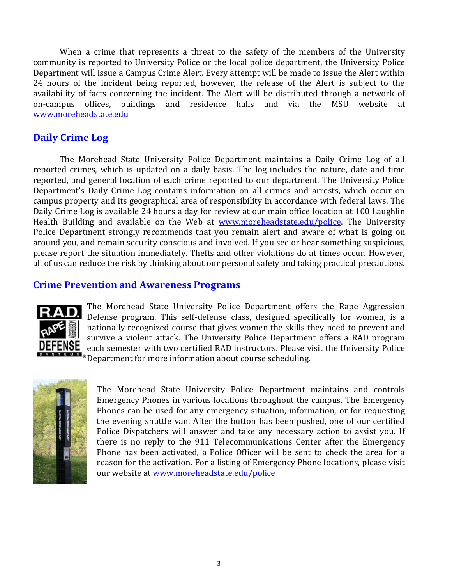When a crime that represents a threat to the safety of the members of the University community is reported to University Police or the local police department, the University Police Department will issue a Campus Crime Alert. Every attempt will be made to issue the Alert within 24 hours of the incident being reported, however, the release of the Alert is subject to the availability of facts concerning the incident. The Alert will be distributed through a network of on-campus offices, buildings and residence halls and via the MSU website at [www.moreheadstate.edu](http://www.moreheadstate.edu/)

## **Daily Crime Log**

The Morehead State University Police Department maintains a Daily Crime Log of all reported crimes, which is updated on a daily basis. The log includes the nature, date and time reported, and general location of each crime reported to our department. The University Police Department's Daily Crime Log contains information on all crimes and arrests, which occur on campus property and its geographical area of responsibility in accordance with federal laws. The Daily Crime Log is available 24 hours a day for review at our main office location at 100 Laughlin Health Building and available on the Web at [www.moreheadstate.edu/police.](http://www.moreheadstate.edu/police) The University Police Department strongly recommends that you remain alert and aware of what is going on around you, and remain security conscious and involved. If you see or hear something suspicious, please report the situation immediately. Thefts and other violations do at times occur. However, all of us can reduce the risk by thinking about our personal safety and taking practical precautions.

## **Crime Prevention and Awareness Programs**



The Morehead State University Police Department offers the Rape Aggression Defense program. This self-defense class, designed specifically for women, is a nationally recognized course that gives women the skills they need to prevent and survive a violent attack. The University Police Department offers a RAD program each semester with two certified RAD instructors. Please visit the University Police **E M S** ® Department for more information about course scheduling.



The Morehead State University Police Department maintains and controls Emergency Phones in various locations throughout the campus. The Emergency Phones can be used for any emergency situation, information, or for requesting the evening shuttle van. After the button has been pushed, one of our certified Police Dispatchers will answer and take any necessary action to assist you. If there is no reply to the 911 Telecommunications Center after the Emergency Phone has been activated, a Police Officer will be sent to check the area for a reason for the activation. For a listing of Emergency Phone locations, please visit our website at [www.moreheadstate.edu/police](http://www.moreheadstate.edu/police)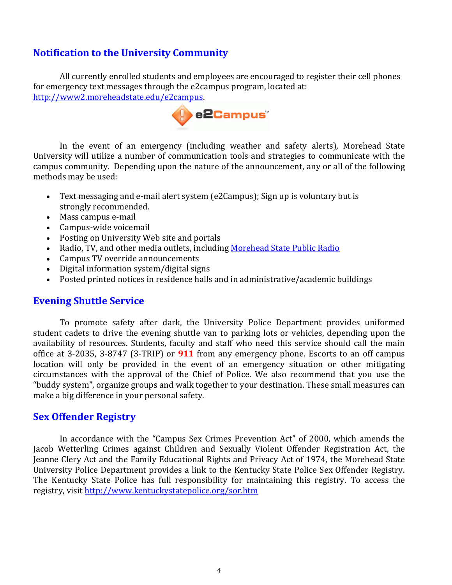## **Notification to the University Community**

All currently enrolled students and employees are encouraged to register their cell phones for emergency text messages through the e2campus program, located at: [http://www2.moreheadstate.edu/e2campus.](http://www2.moreheadstate.edu/e2campus)



In the event of an emergency (including weather and safety alerts), Morehead State University will utilize a number of communication tools and strategies to communicate with the campus community. Depending upon the nature of the announcement, any or all of the following methods may be used:

- Text messaging and e-mail alert system (e2Campus); Sign up is voluntary but is strongly recommended.
- Mass campus e-mail
- Campus-wide voicemail
- Posting on University Web site and portals
- Radio, TV, and other media outlets, including [Morehead State Public Radio](http://www.msuradio.com/)
- Campus TV override announcements
- Digital information system/digital signs
- Posted printed notices in residence halls and in administrative/academic buildings

#### **Evening Shuttle Service**

To promote safety after dark, the University Police Department provides uniformed student cadets to drive the evening shuttle van to parking lots or vehicles, depending upon the availability of resources. Students, faculty and staff who need this service should call the main office at 3-2035, 3-8747 (3-TRIP) or **911** from any emergency phone. Escorts to an off campus location will only be provided in the event of an emergency situation or other mitigating circumstances with the approval of the Chief of Police. We also recommend that you use the "buddy system", organize groups and walk together to your destination. These small measures can make a big difference in your personal safety.

## **Sex Offender Registry**

In accordance with the "Campus Sex Crimes Prevention Act" of 2000, which amends the Jacob Wetterling Crimes against Children and Sexually Violent Offender Registration Act, the Jeanne Clery Act and the Family Educational Rights and Privacy Act of 1974, the Morehead State University Police Department provides a link to the Kentucky State Police Sex Offender Registry. The Kentucky State Police has full responsibility for maintaining this registry. To access the registry, visit<http://www.kentuckystatepolice.org/sor.htm>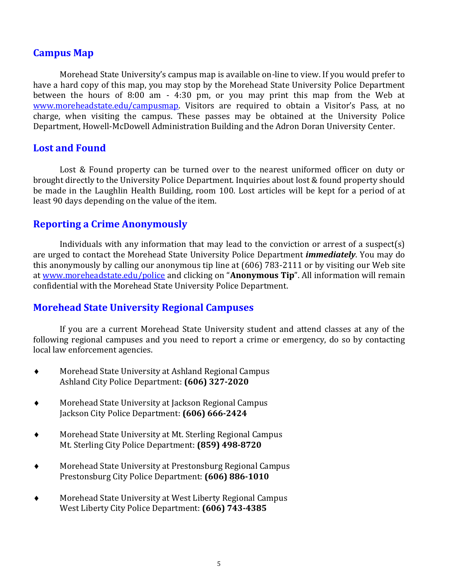### **Campus Map**

Morehead State University's campus map is available on-line to view. If you would prefer to have a hard copy of this map, you may stop by the Morehead State University Police Department between the hours of 8:00 am - 4:30 pm, or you may print this map from the Web at [www.moreheadstate.edu/campusmap.](http://www.moreheadstate.edu/campusmap) Visitors are required to obtain a Visitor's Pass, at no charge, when visiting the campus. These passes may be obtained at the University Police Department, Howell-McDowell Administration Building and the Adron Doran University Center.

### **Lost and Found**

Lost & Found property can be turned over to the nearest uniformed officer on duty or brought directly to the University Police Department. Inquiries about lost & found property should be made in the Laughlin Health Building, room 100. Lost articles will be kept for a period of at least 90 days depending on the value of the item.

## **Reporting a Crime Anonymously**

Individuals with any information that may lead to the conviction or arrest of a suspect(s) are urged to contact the Morehead State University Police Department *immediately*. You may do this anonymously by calling our anonymous tip line at (606) 783-2111 or by visiting our Web site at [www.moreheadstate.edu/police](http://www.moreheadstate.edu/police) and clicking on "**Anonymous Tip**". All information will remain confidential with the Morehead State University Police Department.

## **Morehead State University Regional Campuses**

If you are a current Morehead State University student and attend classes at any of the following regional campuses and you need to report a crime or emergency, do so by contacting local law enforcement agencies.

- Morehead State University at Ashland Regional Campus Ashland City Police Department: **(606) 327-2020**
- Morehead State University at Jackson Regional Campus Jackson City Police Department: **(606) 666-2424**
- Morehead State University at Mt. Sterling Regional Campus Mt. Sterling City Police Department: **(859) 498-8720**
- Morehead State University at Prestonsburg Regional Campus Prestonsburg City Police Department: **(606) 886-1010**
- Morehead State University at West Liberty Regional Campus West Liberty City Police Department: **(606) 743-4385**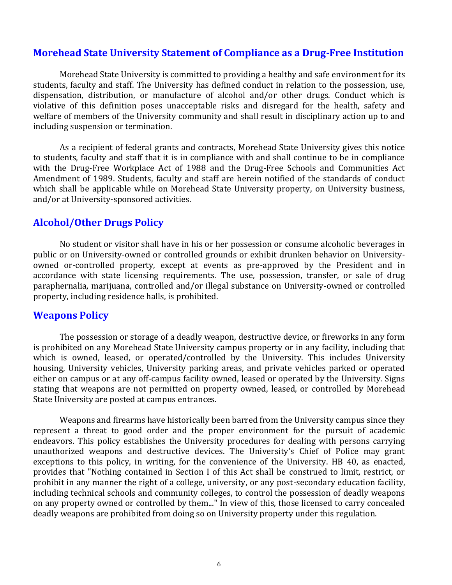### **Morehead State University Statement of Compliance as a Drug-Free Institution**

Morehead State University is committed to providing a healthy and safe environment for its students, faculty and staff. The University has defined conduct in relation to the possession, use, dispensation, distribution, or manufacture of alcohol and/or other drugs. Conduct which is violative of this definition poses unacceptable risks and disregard for the health, safety and welfare of members of the University community and shall result in disciplinary action up to and including suspension or termination.

As a recipient of federal grants and contracts, Morehead State University gives this notice to students, faculty and staff that it is in compliance with and shall continue to be in compliance with the Drug-Free Workplace Act of 1988 and the Drug-Free Schools and Communities Act Amendment of 1989. Students, faculty and staff are herein notified of the standards of conduct which shall be applicable while on Morehead State University property, on University business, and/or at University-sponsored activities.

## **Alcohol/Other Drugs Policy**

No student or visitor shall have in his or her possession or consume alcoholic beverages in public or on University-owned or controlled grounds or exhibit drunken behavior on Universityowned or-controlled property, except at events as pre-approved by the President and in accordance with state licensing requirements. The use, possession, transfer, or sale of drug paraphernalia, marijuana, controlled and/or illegal substance on University-owned or controlled property, including residence halls, is prohibited.

## **Weapons Policy**

The possession or storage of a deadly weapon, destructive device, or fireworks in any form is prohibited on any Morehead State University campus property or in any facility, including that which is owned, leased, or operated/controlled by the University. This includes University housing, University vehicles, University parking areas, and private vehicles parked or operated either on campus or at any off-campus facility owned, leased or operated by the University. Signs stating that weapons are not permitted on property owned, leased, or controlled by Morehead State University are posted at campus entrances.

Weapons and firearms have historically been barred from the University campus since they represent a threat to good order and the proper environment for the pursuit of academic endeavors. This policy establishes the University procedures for dealing with persons carrying unauthorized weapons and destructive devices. The University's Chief of Police may grant exceptions to this policy, in writing, for the convenience of the University. HB 40, as enacted, provides that "Nothing contained in Section I of this Act shall be construed to limit, restrict, or prohibit in any manner the right of a college, university, or any post-secondary education facility, including technical schools and community colleges, to control the possession of deadly weapons on any property owned or controlled by them..." In view of this, those licensed to carry concealed deadly weapons are prohibited from doing so on University property under this regulation.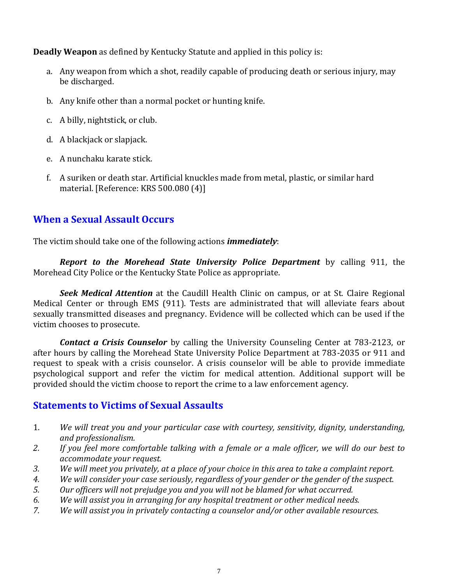**Deadly Weapon** as defined by Kentucky Statute and applied in this policy is:

- a. Any weapon from which a shot, readily capable of producing death or serious injury, may be discharged.
- b. Any knife other than a normal pocket or hunting knife.
- c. A billy, nightstick, or club.
- d. A blackjack or slapjack.
- e. A nunchaku karate stick.
- f. A suriken or death star. Artificial knuckles made from metal, plastic, or similar hard material. [Reference: KRS 500.080 (4)]

## **When a Sexual Assault Occurs**

The victim should take one of the following actions *immediately*:

*Report to the Morehead State University Police Department* by calling 911, the Morehead City Police or the Kentucky State Police as appropriate.

*Seek Medical Attention* at the Caudill Health Clinic on campus, or at St. Claire Regional Medical Center or through EMS (911). Tests are administrated that will alleviate fears about sexually transmitted diseases and pregnancy. Evidence will be collected which can be used if the victim chooses to prosecute.

*Contact a Crisis Counselor* by calling the University Counseling Center at 783-2123, or after hours by calling the Morehead State University Police Department at 783-2035 or 911 and request to speak with a crisis counselor. A crisis counselor will be able to provide immediate psychological support and refer the victim for medical attention. Additional support will be provided should the victim choose to report the crime to a law enforcement agency.

## **Statements to Victims of Sexual Assaults**

- 1. *We will treat you and your particular case with courtesy, sensitivity, dignity, understanding, and professionalism.*
- *2. If you feel more comfortable talking with a female or a male officer, we will do our best to accommodate your request.*
- *3. We will meet you privately, at a place of your choice in this area to take a complaint report.*
- *4. We will consider your case seriously, regardless of your gender or the gender of the suspect.*
- *5. Our officers will not prejudge you and you will not be blamed for what occurred.*
- *6. We will assist you in arranging for any hospital treatment or other medical needs.*
- *7. We will assist you in privately contacting a counselor and/or other available resources.*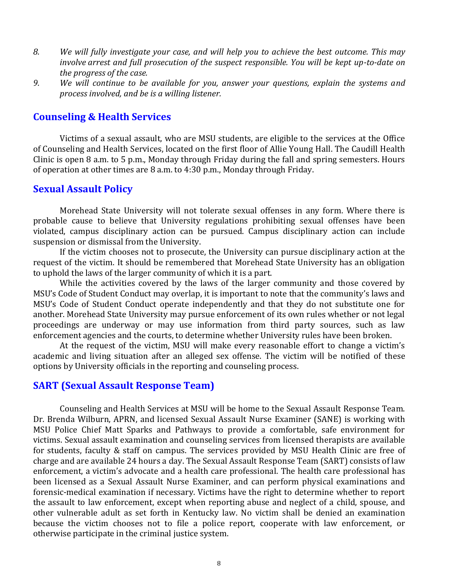- *8. We will fully investigate your case, and will help you to achieve the best outcome. This may involve arrest and full prosecution of the suspect responsible. You will be kept up-to-date on the progress of the case.*
- *9. We will continue to be available for you, answer your questions, explain the systems and process involved, and be is a willing listener.*

## **Counseling & Health Services**

Victims of a sexual assault, who are MSU students, are eligible to the services at the Office of Counseling and Health Services, located on the first floor of Allie Young Hall. The Caudill Health Clinic is open 8 a.m. to 5 p.m., Monday through Friday during the fall and spring semesters. Hours of operation at other times are 8 a.m. to 4:30 p.m., Monday through Friday.

#### **Sexual Assault Policy**

Morehead State University will not tolerate sexual offenses in any form. Where there is probable cause to believe that University regulations prohibiting sexual offenses have been violated, campus disciplinary action can be pursued. Campus disciplinary action can include suspension or dismissal from the University.

If the victim chooses not to prosecute, the University can pursue disciplinary action at the request of the victim. It should be remembered that Morehead State University has an obligation to uphold the laws of the larger community of which it is a part.

While the activities covered by the laws of the larger community and those covered by MSU's Code of Student Conduct may overlap, it is important to note that the community's laws and MSU's Code of Student Conduct operate independently and that they do not substitute one for another. Morehead State University may pursue enforcement of its own rules whether or not legal proceedings are underway or may use information from third party sources, such as law enforcement agencies and the courts, to determine whether University rules have been broken.

At the request of the victim, MSU will make every reasonable effort to change a victim's academic and living situation after an alleged sex offense. The victim will be notified of these options by University officials in the reporting and counseling process.

#### **SART (Sexual Assault Response Team)**

Counseling and Health Services at MSU will be home to the Sexual Assault Response Team. Dr. Brenda Wilburn, APRN, and licensed Sexual Assault Nurse Examiner (SANE) is working with MSU Police Chief Matt Sparks and Pathways to provide a comfortable, safe environment for victims. Sexual assault examination and counseling services from licensed therapists are available for students, faculty & staff on campus. The services provided by MSU Health Clinic are free of charge and are available 24 hours a day. The Sexual Assault Response Team (SART) consists of law enforcement, a victim's advocate and a health care professional. The health care professional has been licensed as a Sexual Assault Nurse Examiner, and can perform physical examinations and forensic-medical examination if necessary. Victims have the right to determine whether to report the assault to law enforcement, except when reporting abuse and neglect of a child, spouse, and other vulnerable adult as set forth in Kentucky law. No victim shall be denied an examination because the victim chooses not to file a police report, cooperate with law enforcement, or otherwise participate in the criminal justice system.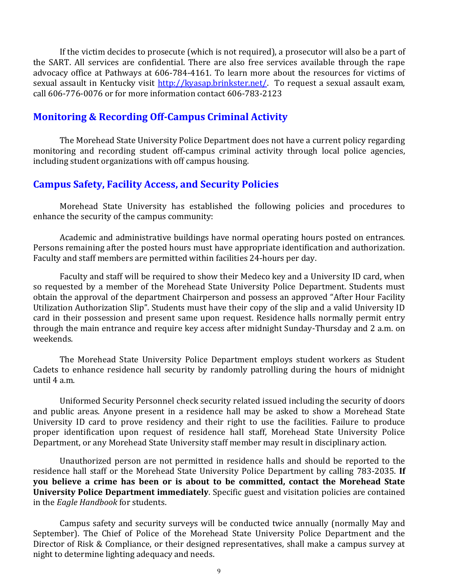If the victim decides to prosecute (which is not required), a prosecutor will also be a part of the SART. All services are confidential. There are also free services available through the rape advocacy office at Pathways at 606-784-4161. To learn more about the resources for victims of sexual assault in Kentucky visit [http://kyasap.brinkster.net/.](http://kyasap.brinkster.net/) To request a sexual assault exam, call 606-776-0076 or for more information contact 606-783-2123

## **Monitoring & Recording Off-Campus Criminal Activity**

The Morehead State University Police Department does not have a current policy regarding monitoring and recording student off-campus criminal activity through local police agencies, including student organizations with off campus housing.

## **Campus Safety, Facility Access, and Security Policies**

Morehead State University has established the following policies and procedures to enhance the security of the campus community:

Academic and administrative buildings have normal operating hours posted on entrances. Persons remaining after the posted hours must have appropriate identification and authorization. Faculty and staff members are permitted within facilities 24-hours per day.

Faculty and staff will be required to show their Medeco key and a University ID card, when so requested by a member of the Morehead State University Police Department. Students must obtain the approval of the department Chairperson and possess an approved "After Hour Facility Utilization Authorization Slip". Students must have their copy of the slip and a valid University ID card in their possession and present same upon request. Residence halls normally permit entry through the main entrance and require key access after midnight Sunday-Thursday and 2 a.m. on weekends.

The Morehead State University Police Department employs student workers as Student Cadets to enhance residence hall security by randomly patrolling during the hours of midnight until 4 a.m.

Uniformed Security Personnel check security related issued including the security of doors and public areas. Anyone present in a residence hall may be asked to show a Morehead State University ID card to prove residency and their right to use the facilities. Failure to produce proper identification upon request of residence hall staff, Morehead State University Police Department, or any Morehead State University staff member may result in disciplinary action.

Unauthorized person are not permitted in residence halls and should be reported to the residence hall staff or the Morehead State University Police Department by calling 783-2035. **If you believe a crime has been or is about to be committed, contact the Morehead State University Police Department immediately**. Specific guest and visitation policies are contained in the *Eagle Handbook* for students.

Campus safety and security surveys will be conducted twice annually (normally May and September). The Chief of Police of the Morehead State University Police Department and the Director of Risk & Compliance, or their designed representatives, shall make a campus survey at night to determine lighting adequacy and needs.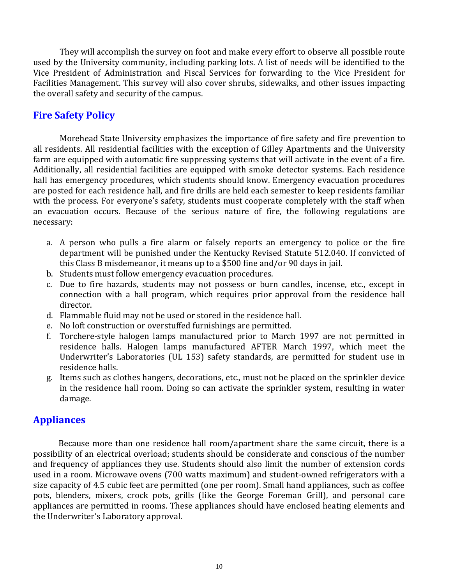They will accomplish the survey on foot and make every effort to observe all possible route used by the University community, including parking lots. A list of needs will be identified to the Vice President of Administration and Fiscal Services for forwarding to the Vice President for Facilities Management. This survey will also cover shrubs, sidewalks, and other issues impacting the overall safety and security of the campus.

## **Fire Safety Policy**

Morehead State University emphasizes the importance of fire safety and fire prevention to all residents. All residential facilities with the exception of Gilley Apartments and the University farm are equipped with automatic fire suppressing systems that will activate in the event of a fire. Additionally, all residential facilities are equipped with smoke detector systems. Each residence hall has emergency procedures, which students should know. Emergency evacuation procedures are posted for each residence hall, and fire drills are held each semester to keep residents familiar with the process. For everyone's safety, students must cooperate completely with the staff when an evacuation occurs. Because of the serious nature of fire, the following regulations are necessary:

- a. A person who pulls a fire alarm or falsely reports an emergency to police or the fire department will be punished under the Kentucky Revised Statute 512.040. If convicted of this Class B misdemeanor, it means up to a \$500 fine and/or 90 days in jail.
- b. Students must follow emergency evacuation procedures.
- c. Due to fire hazards, students may not possess or burn candles, incense, etc., except in connection with a hall program, which requires prior approval from the residence hall director.
- d. Flammable fluid may not be used or stored in the residence hall.
- e. No loft construction or overstuffed furnishings are permitted.
- f. Torchere-style halogen lamps manufactured prior to March 1997 are not permitted in residence halls. Halogen lamps manufactured AFTER March 1997, which meet the Underwriter's Laboratories (UL 153) safety standards, are permitted for student use in residence halls.
- g. Items such as clothes hangers, decorations, etc., must not be placed on the sprinkler device in the residence hall room. Doing so can activate the sprinkler system, resulting in water damage.

## **Appliances**

 Because more than one residence hall room/apartment share the same circuit, there is a possibility of an electrical overload; students should be considerate and conscious of the number and frequency of appliances they use. Students should also limit the number of extension cords used in a room. Microwave ovens (700 watts maximum) and student-owned refrigerators with a size capacity of 4.5 cubic feet are permitted (one per room). Small hand appliances, such as coffee pots, blenders, mixers, crock pots, grills (like the George Foreman Grill), and personal care appliances are permitted in rooms. These appliances should have enclosed heating elements and the Underwriter's Laboratory approval.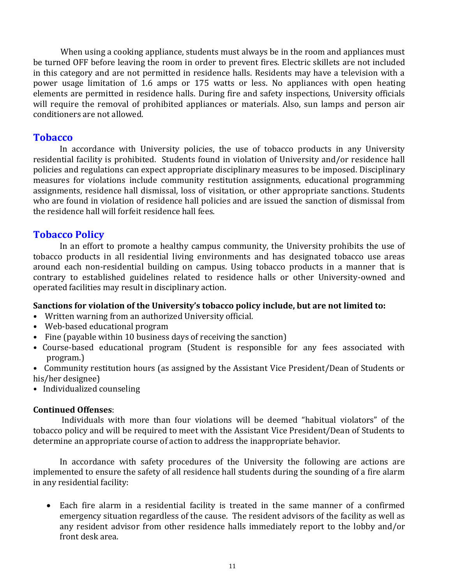When using a cooking appliance, students must always be in the room and appliances must be turned OFF before leaving the room in order to prevent fires. Electric skillets are not included in this category and are not permitted in residence halls. Residents may have a television with a power usage limitation of 1.6 amps or 175 watts or less. No appliances with open heating elements are permitted in residence halls. During fire and safety inspections, University officials will require the removal of prohibited appliances or materials. Also, sun lamps and person air conditioners are not allowed.

## **Tobacco**

In accordance with University policies, the use of tobacco products in any University residential facility is prohibited. Students found in violation of University and/or residence hall policies and regulations can expect appropriate disciplinary measures to be imposed. Disciplinary measures for violations include community restitution assignments, educational programming assignments, residence hall dismissal, loss of visitation, or other appropriate sanctions. Students who are found in violation of residence hall policies and are issued the sanction of dismissal from the residence hall will forfeit residence hall fees.

## **Tobacco Policy**

In an effort to promote a healthy campus community, the University prohibits the use of tobacco products in all residential living environments and has designated tobacco use areas around each non-residential building on campus. Using tobacco products in a manner that is contrary to established guidelines related to residence halls or other University-owned and operated facilities may result in disciplinary action.

#### **Sanctions for violation of the University's tobacco policy include, but are not limited to:**

- Written warning from an authorized University official.
- Web-based educational program
- Fine (payable within 10 business days of receiving the sanction)
- Course-based educational program (Student is responsible for any fees associated with program.)
- Community restitution hours (as assigned by the Assistant Vice President/Dean of Students or his/her designee)
- Individualized counseling

#### **Continued Offenses**:

Individuals with more than four violations will be deemed "habitual violators" of the tobacco policy and will be required to meet with the Assistant Vice President/Dean of Students to determine an appropriate course of action to address the inappropriate behavior.

In accordance with safety procedures of the University the following are actions are implemented to ensure the safety of all residence hall students during the sounding of a fire alarm in any residential facility:

 Each fire alarm in a residential facility is treated in the same manner of a confirmed emergency situation regardless of the cause. The resident advisors of the facility as well as any resident advisor from other residence halls immediately report to the lobby and/or front desk area.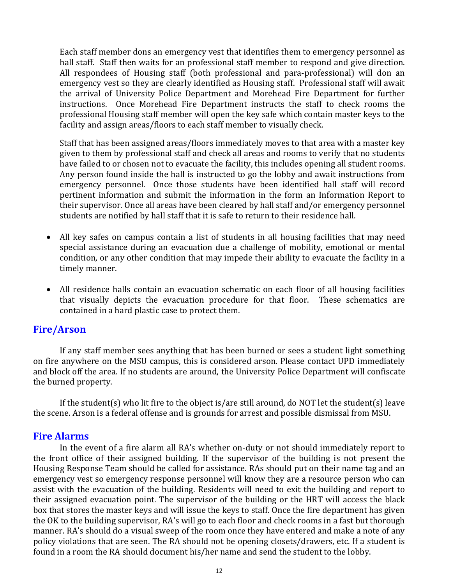Each staff member dons an emergency vest that identifies them to emergency personnel as hall staff. Staff then waits for an professional staff member to respond and give direction. All respondees of Housing staff (both professional and para-professional) will don an emergency vest so they are clearly identified as Housing staff. Professional staff will await the arrival of University Police Department and Morehead Fire Department for further instructions. Once Morehead Fire Department instructs the staff to check rooms the professional Housing staff member will open the key safe which contain master keys to the facility and assign areas/floors to each staff member to visually check.

Staff that has been assigned areas/floors immediately moves to that area with a master key given to them by professional staff and check all areas and rooms to verify that no students have failed to or chosen not to evacuate the facility, this includes opening all student rooms. Any person found inside the hall is instructed to go the lobby and await instructions from emergency personnel. Once those students have been identified hall staff will record pertinent information and submit the information in the form an Information Report to their supervisor. Once all areas have been cleared by hall staff and/or emergency personnel students are notified by hall staff that it is safe to return to their residence hall.

- All key safes on campus contain a list of students in all housing facilities that may need special assistance during an evacuation due a challenge of mobility, emotional or mental condition, or any other condition that may impede their ability to evacuate the facility in a timely manner.
- All residence halls contain an evacuation schematic on each floor of all housing facilities that visually depicts the evacuation procedure for that floor. These schematics are contained in a hard plastic case to protect them.

## **Fire/Arson**

If any staff member sees anything that has been burned or sees a student light something on fire anywhere on the MSU campus, this is considered arson. Please contact UPD immediately and block off the area. If no students are around, the University Police Department will confiscate the burned property.

If the student(s) who lit fire to the object is/are still around, do NOT let the student(s) leave the scene. Arson is a federal offense and is grounds for arrest and possible dismissal from MSU.

## **Fire Alarms**

In the event of a fire alarm all RA's whether on-duty or not should immediately report to the front office of their assigned building. If the supervisor of the building is not present the Housing Response Team should be called for assistance. RAs should put on their name tag and an emergency vest so emergency response personnel will know they are a resource person who can assist with the evacuation of the building. Residents will need to exit the building and report to their assigned evacuation point. The supervisor of the building or the HRT will access the black box that stores the master keys and will issue the keys to staff. Once the fire department has given the OK to the building supervisor, RA's will go to each floor and check rooms in a fast but thorough manner. RA's should do a visual sweep of the room once they have entered and make a note of any policy violations that are seen. The RA should not be opening closets/drawers, etc. If a student is found in a room the RA should document his/her name and send the student to the lobby.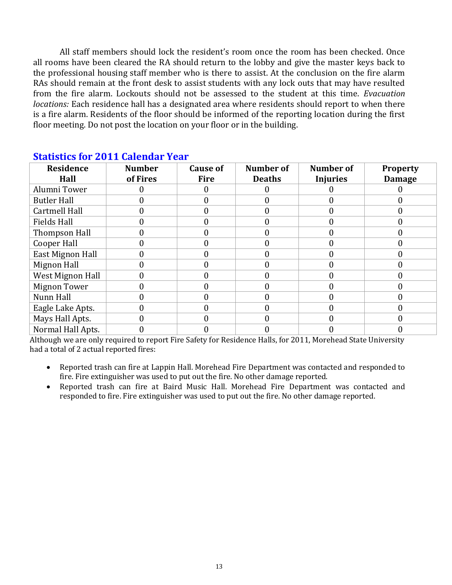All staff members should lock the resident's room once the room has been checked. Once all rooms have been cleared the RA should return to the lobby and give the master keys back to the professional housing staff member who is there to assist. At the conclusion on the fire alarm RAs should remain at the front desk to assist students with any lock outs that may have resulted from the fire alarm. Lockouts should not be assessed to the student at this time. *Evacuation locations:* Each residence hall has a designated area where residents should report to when there is a fire alarm. Residents of the floor should be informed of the reporting location during the first floor meeting. Do not post the location on your floor or in the building.

| <b>Residence</b><br>Hall | <b>Number</b><br>of Fires | <b>Cause of</b><br><b>Fire</b> | Number of<br><b>Deaths</b> | <b>Number of</b><br><b>Injuries</b> | <b>Property</b><br><b>Damage</b> |  |  |  |  |  |
|--------------------------|---------------------------|--------------------------------|----------------------------|-------------------------------------|----------------------------------|--|--|--|--|--|
| Alumni Tower             |                           |                                |                            |                                     |                                  |  |  |  |  |  |
| <b>Butler Hall</b>       |                           | 0                              |                            |                                     |                                  |  |  |  |  |  |
| Cartmell Hall            |                           | O                              |                            |                                     |                                  |  |  |  |  |  |
| <b>Fields Hall</b>       |                           | 0                              |                            |                                     |                                  |  |  |  |  |  |
| Thompson Hall            |                           | 0                              |                            |                                     |                                  |  |  |  |  |  |
| Cooper Hall              | 0                         | 0                              |                            |                                     |                                  |  |  |  |  |  |
| East Mignon Hall         |                           | 0                              |                            |                                     |                                  |  |  |  |  |  |
| Mignon Hall              |                           |                                |                            |                                     |                                  |  |  |  |  |  |
| West Mignon Hall         |                           |                                |                            |                                     |                                  |  |  |  |  |  |
| <b>Mignon Tower</b>      | 0                         | 0                              |                            |                                     |                                  |  |  |  |  |  |
| Nunn Hall                |                           | 0                              |                            |                                     |                                  |  |  |  |  |  |
| Eagle Lake Apts.         | 0                         | 0                              |                            |                                     |                                  |  |  |  |  |  |
| Mays Hall Apts.          |                           | 0                              |                            |                                     |                                  |  |  |  |  |  |
| Normal Hall Apts.        |                           |                                |                            |                                     |                                  |  |  |  |  |  |

## **Statistics for 2011 Calendar Year**

Although we are only required to report Fire Safety for Residence Halls, for 2011, Morehead State University had a total of 2 actual reported fires:

- Reported trash can fire at Lappin Hall. Morehead Fire Department was contacted and responded to fire. Fire extinguisher was used to put out the fire. No other damage reported.
- Reported trash can fire at Baird Music Hall. Morehead Fire Department was contacted and responded to fire. Fire extinguisher was used to put out the fire. No other damage reported.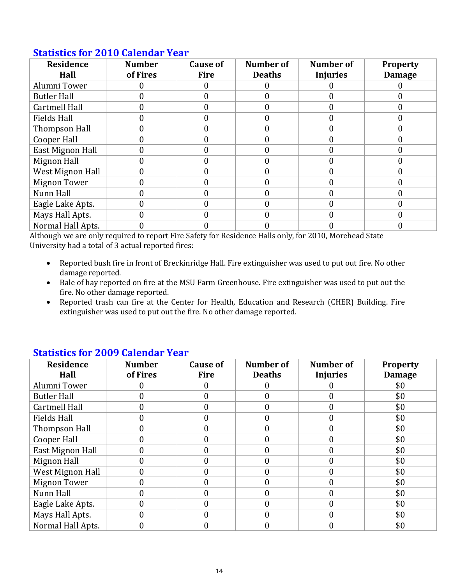| <b>Residence</b><br>Hall | <b>Number</b><br>of Fires | <b>Cause of</b><br><b>Fire</b> | <b>Number of</b><br><b>Deaths</b> | Number of<br><b>Injuries</b> | <b>Property</b><br><b>Damage</b> |
|--------------------------|---------------------------|--------------------------------|-----------------------------------|------------------------------|----------------------------------|
| Alumni Tower             |                           |                                |                                   |                              |                                  |
| <b>Butler Hall</b>       |                           |                                |                                   |                              |                                  |
| Cartmell Hall            | 0                         | 0                              |                                   |                              |                                  |
| <b>Fields Hall</b>       | 0                         |                                |                                   |                              |                                  |
| Thompson Hall            |                           |                                |                                   |                              |                                  |
| Cooper Hall              | 0                         | 0                              |                                   |                              | 0                                |
| East Mignon Hall         | 0                         |                                |                                   |                              |                                  |
| Mignon Hall              |                           |                                |                                   |                              |                                  |
| West Mignon Hall         | 0                         |                                |                                   |                              | 0                                |
| Mignon Tower             | 0                         |                                |                                   |                              |                                  |
| Nunn Hall                |                           |                                |                                   |                              |                                  |
| Eagle Lake Apts.         | 0                         |                                |                                   |                              |                                  |
| Mays Hall Apts.          | O                         |                                |                                   |                              |                                  |
| Normal Hall Apts.        |                           |                                |                                   |                              |                                  |

## **Statistics for 2010 Calendar Year**

Although we are only required to report Fire Safety for Residence Halls only, for 2010, Morehead State University had a total of 3 actual reported fires:

- Reported bush fire in front of Breckinridge Hall. Fire extinguisher was used to put out fire. No other damage reported.
- Bale of hay reported on fire at the MSU Farm Greenhouse. Fire extinguisher was used to put out the fire. No other damage reported.
- Reported trash can fire at the Center for Health, Education and Research (CHER) Building. Fire extinguisher was used to put out the fire. No other damage reported.

| <u>biatistics for good calchaar fear</u> |                |             |                  |                 |                 |  |  |  |  |  |
|------------------------------------------|----------------|-------------|------------------|-----------------|-----------------|--|--|--|--|--|
| <b>Residence</b>                         | <b>Number</b>  | Cause of    | <b>Number of</b> | Number of       | <b>Property</b> |  |  |  |  |  |
| Hall                                     | of Fires       | <b>Fire</b> | <b>Deaths</b>    | <b>Injuries</b> | <b>Damage</b>   |  |  |  |  |  |
| Alumni Tower                             |                |             |                  |                 | \$0             |  |  |  |  |  |
| <b>Butler Hall</b>                       | 0              | 0           |                  |                 | \$0             |  |  |  |  |  |
| Cartmell Hall                            | 0              | 0           |                  |                 | \$0             |  |  |  |  |  |
| <b>Fields Hall</b>                       | 0              | 0           |                  |                 | \$0             |  |  |  |  |  |
| Thompson Hall                            | 0              | 0           |                  |                 | \$0             |  |  |  |  |  |
| Cooper Hall                              | 0              | 0           |                  |                 | \$0             |  |  |  |  |  |
| East Mignon Hall                         |                | 0           |                  |                 | \$0             |  |  |  |  |  |
| Mignon Hall                              | 0              |             |                  |                 | \$0             |  |  |  |  |  |
| West Mignon Hall                         | $\overline{0}$ | 0           |                  |                 | \$0             |  |  |  |  |  |
| Mignon Tower                             | 0              | O           |                  |                 | \$0             |  |  |  |  |  |
| Nunn Hall                                | 0              | 0           |                  |                 | \$0             |  |  |  |  |  |
| Eagle Lake Apts.                         | 0              | 0           |                  |                 | \$0             |  |  |  |  |  |
| Mays Hall Apts.                          | 0              | 0           |                  |                 | \$0             |  |  |  |  |  |
| Normal Hall Apts.                        |                |             |                  |                 | \$0             |  |  |  |  |  |

## **Statistics for 2009 Calendar Year**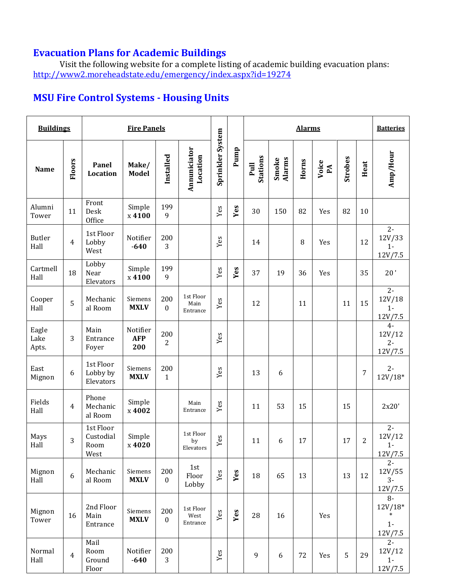## **Evacuation Plans for Academic Buildings**

Visit the following website for a complete listing of academic building evacuation plans: <http://www2.moreheadstate.edu/emergency/index.aspx?id=19274>

## **MSU Fire Control Systems - Housing Units**

| <b>Buildings</b>       |                |                                        | <b>Fire Panels</b>            |                         |                               |                  |      | <b>Alarms</b>    |                        |       |                           |         | <b>Batteries</b> |                                                 |
|------------------------|----------------|----------------------------------------|-------------------------------|-------------------------|-------------------------------|------------------|------|------------------|------------------------|-------|---------------------------|---------|------------------|-------------------------------------------------|
| <b>Name</b>            | <b>Floors</b>  | Panel<br>Location                      | Make/<br><b>Model</b>         | Installed               | Annuniciator<br>Location      | Sprinkler System | Pump | Stations<br>Pull | <b>Alarms</b><br>Smoke | Horns | Voice<br>$P_{\mathbf{A}}$ | Strobes | Heat             | Amp/Hour                                        |
| Alumni<br>Tower        | 11             | Front<br>Desk<br>Office                | Simple<br>x 4100              | 199<br>9                |                               | Yes              | Yes  | 30               | 150                    | 82    | Yes                       | 82      | 10               |                                                 |
| <b>Butler</b><br>Hall  | $\overline{4}$ | 1st Floor<br>Lobby<br>West             | Notifier<br>$-640$            | 200<br>3                |                               | Yes              |      | 14               |                        | 8     | Yes                       |         | 12               | $2 -$<br>12V/33<br>$1 -$<br>12V/7.5             |
| Cartmell<br>Hall       | 18             | Lobby<br>Near<br>Elevators             | Simple<br>x 4100              | 199<br>9                |                               | Yes              | Yes  | 37               | 19                     | 36    | Yes                       |         | 35               | 20'                                             |
| Cooper<br>Hall         | 5              | Mechanic<br>al Room                    | Siemens<br><b>MXLV</b>        | 200<br>$\boldsymbol{0}$ | 1st Floor<br>Main<br>Entrance | Yes              |      | 12               |                        | 11    |                           | 11      | 15               | $2 -$<br>12V/18<br>$1 -$<br>12V/7.5             |
| Eagle<br>Lake<br>Apts. | 3              | Main<br>Entrance<br>Foyer              | Notifier<br><b>AFP</b><br>200 | 200<br>2                |                               | Yes              |      |                  |                        |       |                           |         |                  | $4-$<br>12V/12<br>$2 -$<br>12V/7.5              |
| East<br>Mignon         | 6              | 1st Floor<br>Lobby by<br>Elevators     | Siemens<br><b>MXLV</b>        | 200<br>$\mathbf{1}$     |                               | Yes              |      | 13               | 6                      |       |                           |         | 7                | $2 -$<br>$12V/18*$                              |
| Fields<br>Hall         | $\overline{4}$ | Phone<br>Mechanic<br>al Room           | Simple<br>x 4002              |                         | Main<br>Entrance              | Yes              |      | 11               | 53                     | 15    |                           | 15      |                  | 2x20'                                           |
| Mays<br>Hall           | 3              | 1st Floor<br>Custodial<br>Room<br>West | Simple<br>x 4020              |                         | 1st Floor<br>by<br>Elevators  | ${\it Yes}$      |      | 11               | 6                      | 17    |                           | 17      | $\overline{c}$   | $2 -$<br>12V/12<br>$1 -$<br>12V/7.5             |
| Mignon<br>Hall         | 6              | Mechanic<br>al Room                    | Siemens<br><b>MXLV</b>        | 200<br>$\boldsymbol{0}$ | 1st<br>Floor<br>Lobby         | Yes              | Yes  | 18               | 65                     | 13    |                           | 13      | 12               | $2-$<br>12V/55<br>$3-$<br>12V/7.5               |
| Mignon<br>Tower        | 16             | 2nd Floor<br>Main<br>Entrance          | Siemens<br><b>MXLV</b>        | 200<br>$\boldsymbol{0}$ | 1st Floor<br>West<br>Entrance | Yes              | Yes  | 28               | 16                     |       | Yes                       |         |                  | $8-$<br>$12V/18*$<br>$\ast$<br>$1 -$<br>12V/7.5 |
| Normal<br>Hall         | $\overline{4}$ | Mail<br>Room<br>Ground<br>Floor        | Notifier<br>$-640$            | 200<br>3                |                               | Yes              |      | 9                | $\boldsymbol{6}$       | 72    | Yes                       | 5       | 29               | $2 -$<br>12V/12<br>$1 -$<br>12V/7.5             |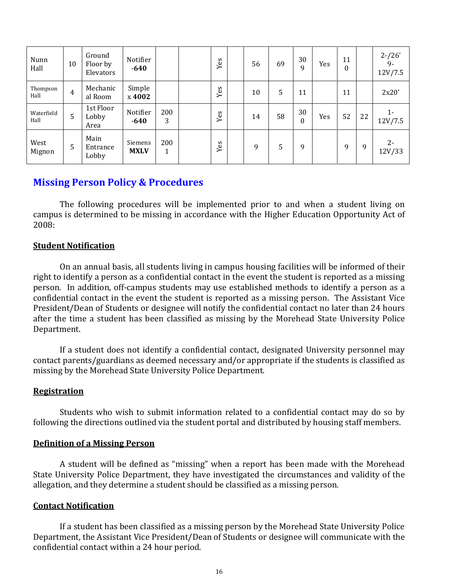| Nunn<br>Hall       | 10             | Ground<br>Floor by<br>Elevators | Notifier<br>$-640$     |          | Yes | 56 | 69 | 30<br>9        | Yes | 11<br>$\boldsymbol{0}$ |    | $2 - 26'$<br>9-<br>12V/7.5 |
|--------------------|----------------|---------------------------------|------------------------|----------|-----|----|----|----------------|-----|------------------------|----|----------------------------|
| Thompson<br>Hall   | $\overline{4}$ | Mechanic<br>al Room             | Simple<br>x 4002       |          | Yes | 10 | 5  | 11             |     | 11                     |    | 2x20'                      |
| Waterfield<br>Hall | 5              | 1st Floor<br>Lobby<br>Area      | Notifier<br>$-640$     | 200<br>3 | Yes | 14 | 58 | 30<br>$\theta$ | Yes | 52                     | 22 | $1 -$<br>12V/7.5           |
| West<br>Mignon     | 5              | Main<br>Entrance<br>Lobby       | Siemens<br><b>MXLV</b> | 200<br>1 | Yes | 9  | 5  | 9              |     | 9                      | 9  | $2 -$<br>12V/33            |

## **Missing Person Policy & Procedures**

The following procedures will be implemented prior to and when a student living on campus is determined to be missing in accordance with the Higher Education Opportunity Act of 2008:

#### **Student Notification**

On an annual basis, all students living in campus housing facilities will be informed of their right to identify a person as a confidential contact in the event the student is reported as a missing person. In addition, off-campus students may use established methods to identify a person as a confidential contact in the event the student is reported as a missing person. The Assistant Vice President/Dean of Students or designee will notify the confidential contact no later than 24 hours after the time a student has been classified as missing by the Morehead State University Police Department.

If a student does not identify a confidential contact, designated University personnel may contact parents/guardians as deemed necessary and/or appropriate if the students is classified as missing by the Morehead State University Police Department.

#### **Registration**

Students who wish to submit information related to a confidential contact may do so by following the directions outlined via the student portal and distributed by housing staff members.

#### **Definition of a Missing Person**

A student will be defined as "missing" when a report has been made with the Morehead State University Police Department, they have investigated the circumstances and validity of the allegation, and they determine a student should be classified as a missing person.

#### **Contact Notification**

If a student has been classified as a missing person by the Morehead State University Police Department, the Assistant Vice President/Dean of Students or designee will communicate with the confidential contact within a 24 hour period.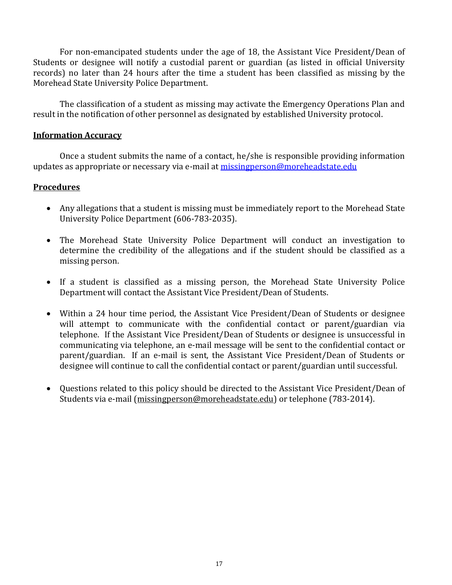For non-emancipated students under the age of 18, the Assistant Vice President/Dean of Students or designee will notify a custodial parent or guardian (as listed in official University records) no later than 24 hours after the time a student has been classified as missing by the Morehead State University Police Department.

The classification of a student as missing may activate the Emergency Operations Plan and result in the notification of other personnel as designated by established University protocol.

#### **Information Accuracy**

Once a student submits the name of a contact, he/she is responsible providing information updates as appropriate or necessary via e-mail at [missingperson@moreheadstate.edu](mailto:missingperson@moreheadstate.edu)

#### **Procedures**

- Any allegations that a student is missing must be immediately report to the Morehead State University Police Department (606-783-2035).
- The Morehead State University Police Department will conduct an investigation to determine the credibility of the allegations and if the student should be classified as a missing person.
- If a student is classified as a missing person, the Morehead State University Police Department will contact the Assistant Vice President/Dean of Students.
- Within a 24 hour time period, the Assistant Vice President/Dean of Students or designee will attempt to communicate with the confidential contact or parent/guardian via telephone. If the Assistant Vice President/Dean of Students or designee is unsuccessful in communicating via telephone, an e-mail message will be sent to the confidential contact or parent/guardian. If an e-mail is sent, the Assistant Vice President/Dean of Students or designee will continue to call the confidential contact or parent/guardian until successful.
- Questions related to this policy should be directed to the Assistant Vice President/Dean of Students via e-mail [\(missingperson@moreheadstate.edu\)](mailto:missingperson@moreheadstate.edu) or telephone (783-2014).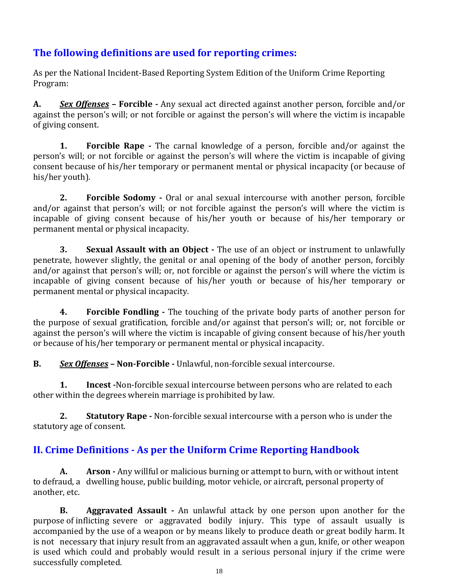## **The following definitions are used for reporting crimes:**

As per the National Incident-Based Reporting System Edition of the Uniform Crime Reporting Program:

**A.** *Sex Offenses* **– Forcible -** Any sexual act directed against another person, forcible and/or against the person's will; or not forcible or against the person's will where the victim is incapable of giving consent.

**1. Forcible Rape -** The carnal knowledge of a person, forcible and/or against the person's will; or not forcible or against the person's will where the victim is incapable of giving consent because of his/her temporary or permanent mental or physical incapacity (or because of his/her youth).

**2. Forcible Sodomy -** Oral or anal sexual intercourse with another person, forcible and/or against that person's will; or not forcible against the person's will where the victim is incapable of giving consent because of his/her youth or because of his/her temporary or permanent mental or physical incapacity.

**3. Sexual Assault with an Object -** The use of an object or instrument to unlawfully penetrate, however slightly, the genital or anal opening of the body of another person, forcibly and/or against that person's will; or, not forcible or against the person's will where the victim is incapable of giving consent because of his/her youth or because of his/her temporary or permanent mental or physical incapacity.

**4. Forcible Fondling -** The touching of the private body parts of another person for the purpose of sexual gratification, forcible and/or against that person's will; or, not forcible or against the person's will where the victim is incapable of giving consent because of his/her youth or because of his/her temporary or permanent mental or physical incapacity.

**B.** *Sex Offenses* **– Non-Forcible -** Unlawful, non-forcible sexual intercourse.

**1. Incest -**Non-forcible sexual intercourse between persons who are related to each other within the degrees wherein marriage is prohibited by law.

**2. Statutory Rape -** Non-forcible sexual intercourse with a person who is under the statutory age of consent.

## **II. Crime Definitions - As per the Uniform Crime Reporting Handbook**

**A. Arson -** Any willful or malicious burning or attempt to burn, with or without intent to defraud, a dwelling house, public building, motor vehicle, or aircraft, personal property of another, etc.

**B. Aggravated Assault -** An unlawful attack by one person upon another for the purpose of inflicting severe or aggravated bodily injury. This type of assault usually is accompanied by the use of a weapon or by means likely to produce death or great bodily harm. It is not necessary that injury result from an aggravated assault when a gun, knife, or other weapon is used which could and probably would result in a serious personal injury if the crime were successfully completed.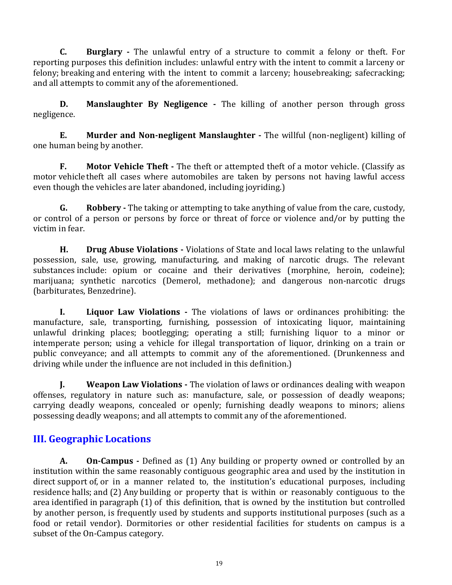**C. Burglary -** The unlawful entry of a structure to commit a felony or theft. For reporting purposes this definition includes: unlawful entry with the intent to commit a larceny or felony; breaking and entering with the intent to commit a larceny; housebreaking; safecracking; and all attempts to commit any of the aforementioned.

**D. Manslaughter By Negligence -** The killing of another person through gross negligence.

**E. Murder and Non-negligent Manslaughter -** The willful (non-negligent) killing of one human being by another.

**F. Motor Vehicle Theft -** The theft or attempted theft of a motor vehicle. (Classify as motor vehicle theft all cases where automobiles are taken by persons not having lawful access even though the vehicles are later abandoned, including joyriding.)

**G. Robbery -** The taking or attempting to take anything of value from the care, custody, or control of a person or persons by force or threat of force or violence and/or by putting the victim in fear.

**H. Drug Abuse Violations -** Violations of State and local laws relating to the unlawful possession, sale, use, growing, manufacturing, and making of narcotic drugs. The relevant substances include: opium or cocaine and their derivatives (morphine, heroin, codeine); marijuana; synthetic narcotics (Demerol, methadone); and dangerous non-narcotic drugs (barbiturates, Benzedrine).

**I. Liquor Law Violations -** The violations of laws or ordinances prohibiting: the manufacture, sale, transporting, furnishing, possession of intoxicating liquor, maintaining unlawful drinking places; bootlegging; operating a still; furnishing liquor to a minor or intemperate person; using a vehicle for illegal transportation of liquor, drinking on a train or public conveyance; and all attempts to commit any of the aforementioned. (Drunkenness and driving while under the influence are not included in this definition.)

**J. Weapon Law Violations -** The violation of laws or ordinances dealing with weapon offenses, regulatory in nature such as: manufacture, sale, or possession of deadly weapons; carrying deadly weapons, concealed or openly; furnishing deadly weapons to minors; aliens possessing deadly weapons; and all attempts to commit any of the aforementioned.

## **III. Geographic Locations**

**A. On-Campus -** Defined as (1) Any building or property owned or controlled by an institution within the same reasonably contiguous geographic area and used by the institution in direct support of, or in a manner related to, the institution's educational purposes, including residence halls; and (2) Anybuilding or property that is within or reasonably contiguous to the area identified in paragraph (1) of this definition, that is owned by the institution but controlled by another person, is frequently used by students and supports institutional purposes (such as a food or retail vendor). Dormitories or other residential facilities for students on campus is a subset of the On-Campus category.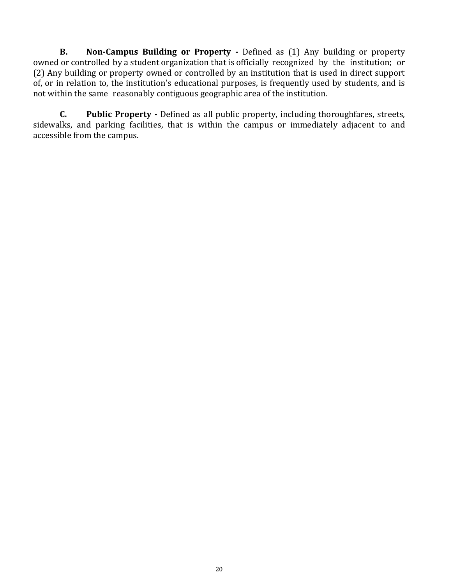**B. Non-Campus Building or Property -** Defined as (1) Any building or property owned or controlled by a student organization that is officially recognized by the institution; or (2) Any building or property owned or controlled by an institution that is used in direct support of, or in relation to, the institution's educational purposes, is frequently used by students, and is not within the same reasonably contiguous geographic area of the institution.

**C. Public Property -** Defined as all public property, including thoroughfares, streets, sidewalks, and parking facilities, that is within the campus or immediately adjacent to and accessible from the campus.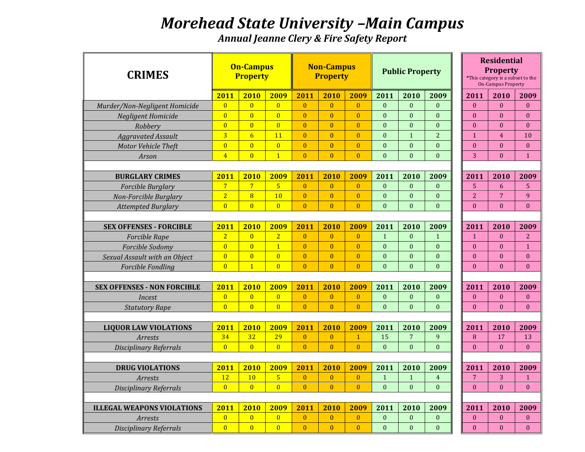## *Morehead State University –Main Campus*

*Annual Jeanne Clery & Fire Safety Report* 

| <b>CRIMES</b>                      |                | <b>On-Campus</b><br><b>Property</b> |                |                | <b>Non-Campus</b><br><b>Property</b> |                |                  | <b>Public Property</b> |                  |                | <b>Residential</b><br><b>Property</b><br>*This category is a subset to the<br><b>On-Campus Property</b> |                  |
|------------------------------------|----------------|-------------------------------------|----------------|----------------|--------------------------------------|----------------|------------------|------------------------|------------------|----------------|---------------------------------------------------------------------------------------------------------|------------------|
|                                    | 2011           | 2010                                | 2009           | 2011           | 2010                                 | 2009           | 2011             | 2010                   | 2009             | 2011           | 2010                                                                                                    | 2009             |
| Murder/Non-Negligent Homicide      | $\overline{0}$ | $\overline{0}$                      | $\overline{0}$ | $\mathbf{0}$   | $\mathbf{0}$                         | $\overline{0}$ | $\mathbf{0}$     | $\Omega$               | $\mathbf{0}$     | $\mathbf{0}$   | $\Omega$                                                                                                | $\Omega$         |
| <b>Negligent Homicide</b>          | $\overline{0}$ | $\overline{0}$                      | $\overline{0}$ | $\mathbf{0}$   | $\mathbf{0}$                         | $\overline{0}$ | $\Omega$         | $\Omega$               | $\mathbf{0}$     | $\mathbf{0}$   | $\Omega$                                                                                                | $\mathbf{0}$     |
| Robbery                            | $\overline{0}$ | $\overline{0}$                      | $\overline{0}$ | $\mathbf{0}$   | $\overline{0}$                       | $\overline{0}$ | $\theta$         | $\theta$               | $\theta$         | $\Omega$       | $\theta$                                                                                                | $\Omega$         |
| <b>Aggravated Assault</b>          | $\overline{3}$ | $6\overline{6}$                     | 11             | $\mathbf{0}$   | $\mathbf{0}$                         | $\overline{0}$ | $\theta$         | $\mathbf{1}$           | $\overline{2}$   | $\mathbf{1}$   | $\overline{4}$                                                                                          | 10               |
| Motor Vehicle Theft                | $\overline{0}$ | $\overline{0}$                      | $\overline{0}$ | $\mathbf{0}$   | $\mathbf{0}$                         | $\overline{0}$ | $\mathbf{0}$     | $\mathbf{0}$           | $\mathbf{0}$     | $\mathbf{0}$   | $\mathbf{0}$                                                                                            | $\mathbf{0}$     |
| Arson                              | $\overline{4}$ | $\overline{0}$                      | $\overline{1}$ | $\overline{0}$ | $\overline{0}$                       | $\overline{0}$ | $\theta$         | $\mathbf{0}$           | $\theta$         | 3              | $\theta$                                                                                                | $\mathbf{1}$     |
|                                    |                |                                     |                |                |                                      |                |                  |                        |                  |                |                                                                                                         |                  |
| <b>BURGLARY CRIMES</b>             | 2011           | 2010                                | 2009           | 2011           | 2010                                 | 2009           | 2011             | 2010                   | 2009             | 2011           | 2010                                                                                                    | 2009             |
| Forcible Burglary                  | $\overline{7}$ | $\overline{7}$                      | $\overline{5}$ | $\mathbf{0}$   | $\mathbf{0}$                         | $\overline{0}$ | $\mathbf{0}$     | $\mathbf{0}$           | $\mathbf{0}$     | 5              | 6                                                                                                       | 5                |
| Non-Forcible Burglary              | $\overline{2}$ | $\overline{8}$                      | 10             | $\mathbf{0}$   | $\mathbf{0}$                         | $\overline{0}$ | $\mathbf{0}$     | $\overline{0}$         | $\mathbf{0}$     | $\overline{2}$ | $\overline{7}$                                                                                          | 9                |
| <b>Attempted Burglary</b>          | $\overline{0}$ | $\overline{0}$                      | $\overline{0}$ | $\mathbf{0}$   | $\Omega$                             | $\overline{0}$ | $\mathbf{0}$     | $\Omega$               | $\mathbf{0}$     | $\mathbf{0}$   | $\theta$                                                                                                | $\mathbf{0}$     |
|                                    |                |                                     |                |                |                                      |                |                  |                        |                  |                |                                                                                                         |                  |
| <b>SEX OFFENSES - FORCIBLE</b>     | 2011           | 2010                                | 2009           | 2011           | 2010                                 | 2009           | 2011             | 2010                   | 2009             | 2011           | 2010                                                                                                    | 2009             |
| <b>Forcible Rape</b>               | $\overline{2}$ | $\overline{0}$                      | $\overline{2}$ | $\overline{0}$ | $\overline{0}$                       | $\overline{0}$ | $\mathbf{1}$     | $\mathbf{0}$           | $\mathbf{1}$     | $\mathbf{1}$   | $\mathbf{0}$                                                                                            | 2                |
| Forcible Sodomy                    | $\overline{0}$ | $\overline{0}$                      | $\overline{1}$ | $\mathbf{0}$   | $\mathbf{0}$                         | $\overline{0}$ | $\mathbf{0}$     | $\mathbf{0}$           | $\mathbf{0}$     | $\mathbf{0}$   | $\mathbf{0}$                                                                                            | $\mathbf{1}$     |
| Sexual Assault with an Object      | $\overline{0}$ | $\overline{0}$                      | $\overline{0}$ | $\mathbf{0}$   | $\mathbf{0}$                         | $\overline{0}$ | $\boldsymbol{0}$ | $\theta$               | $\boldsymbol{0}$ | $\mathbf{0}$   | $\theta$                                                                                                | $\boldsymbol{0}$ |
| Forcible Fondling                  | $\overline{0}$ | $\overline{1}$                      | $\overline{0}$ | $\overline{0}$ | $\theta$                             | $\overline{0}$ | $\theta$         | $\Omega$               | $\theta$         | $\mathbf{0}$   | $\Omega$                                                                                                | $\Omega$         |
|                                    |                |                                     |                |                |                                      |                |                  |                        |                  |                |                                                                                                         |                  |
| <b>SEX OFFENSES - NON FORCIBLE</b> | 2011           | 2010                                | 2009           | 2011           | 2010                                 | 2009           | 2011             | 2010                   | 2009             | 2011           | 2010                                                                                                    | 2009             |
| <i>Incest</i>                      | $\overline{0}$ | $\overline{0}$                      | $\overline{0}$ | $\mathbf{0}$   | $\overline{0}$                       | $\overline{0}$ | $\mathbf{0}$     | $\overline{0}$         | $\Omega$         | $\mathbf{0}$   | $\Omega$                                                                                                | $\mathbf{0}$     |
| <b>Statutory Rape</b>              | $\overline{0}$ | $\overline{0}$                      | $\overline{0}$ | $\mathbf{0}$   | $\overline{0}$                       | $\overline{0}$ | $\theta$         | $\overline{0}$         | $\theta$         | $\mathbf{0}$   | $\Omega$                                                                                                | $\mathbf{0}$     |
|                                    |                |                                     |                |                |                                      |                |                  |                        |                  |                |                                                                                                         |                  |
| <b>LIQUOR LAW VIOLATIONS</b>       | 2011           | 2010                                | 2009           | 2011           | 2010                                 | 2009           | 2011             | 2010                   | 2009             | 2011           | 2010                                                                                                    | 2009             |
| <b>Arrests</b>                     | 34             | 32                                  | 29             | $\overline{0}$ | $\overline{0}$                       | $\mathbf{1}$   | 15               | $\overline{7}$         | 9                | 8              | 17                                                                                                      | 13               |
| <b>Disciplinary Referrals</b>      | $\overline{0}$ | $\overline{0}$                      | $\overline{0}$ | $\mathbf{0}$   | $\mathbf{0}$                         | $\overline{0}$ | $\theta$         | $\mathbf{0}$           | $\mathbf{0}$     | $\mathbf{0}$   | $\theta$                                                                                                | $\mathbf{0}$     |
|                                    |                |                                     |                |                |                                      |                |                  |                        |                  |                |                                                                                                         |                  |
| <b>DRUG VIOLATIONS</b>             | 2011           | 2010                                | 2009           | 2011           | 2010                                 | 2009           | 2011             | 2010                   | 2009             | 2011           | 2010                                                                                                    | 2009             |
| Arrests                            | 12             | 10                                  | $\overline{5}$ | $\overline{0}$ | $\mathbf{0}$                         | $\overline{0}$ | $\mathbf{1}$     | $\mathbf{1}$           | $\overline{4}$   | $\overline{7}$ | 3                                                                                                       | $\mathbf{1}$     |
| <b>Disciplinary Referrals</b>      | $\overline{0}$ | $\overline{0}$                      | $\overline{0}$ | $\mathbf{0}$   | $\mathbf{0}$                         | $\overline{0}$ | $\mathbf{0}$     | $\mathbf{0}$           | $\mathbf{0}$     | $\mathbf{0}$   | $\Omega$                                                                                                | $\mathbf{0}$     |
|                                    |                |                                     |                |                |                                      |                |                  |                        |                  |                |                                                                                                         |                  |
| <b>ILLEGAL WEAPONS VIOLATIONS</b>  | 2011           | 2010                                | 2009           | 2011           | 2010                                 | 2009           | 2011             | 2010                   | 2009             | 2011           | 2010                                                                                                    | 2009             |
| Arrests                            | $\overline{0}$ | $\overline{0}$                      | $\overline{0}$ | $\overline{0}$ | $\bf{0}$                             | $\overline{0}$ | $\mathbf{0}$     | $\mathbf{0}$           | $\boldsymbol{0}$ | $\mathbf{0}$   | $\mathbf{0}$                                                                                            | $\boldsymbol{0}$ |
| <b>Disciplinary Referrals</b>      | $\overline{0}$ | $\overline{0}$                      | $\overline{0}$ | $\theta$       | $\overline{0}$                       | $\overline{0}$ | $\theta$         | $\theta$               | $\Omega$         | $\Omega$       | $\theta$                                                                                                | $\Omega$         |